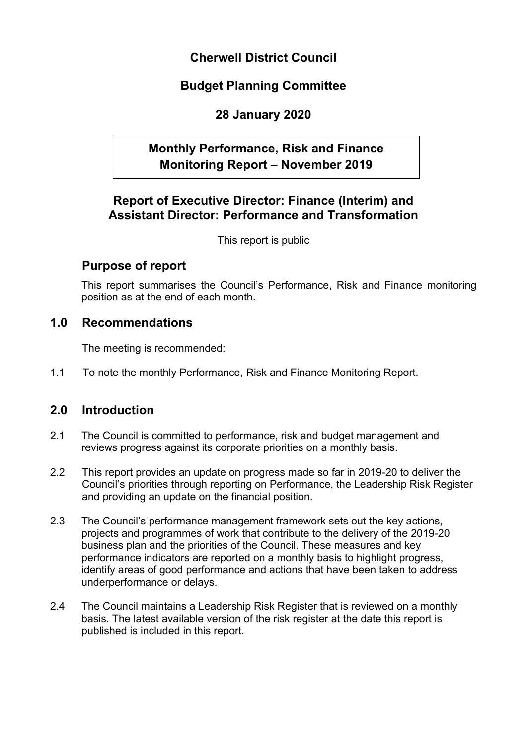# **Cherwell District Council**

# **Budget Planning Committee**

# **28 January 2020**

# **Monthly Performance, Risk and Finance Monitoring Report – November 2019**

## **Report of Executive Director: Finance (Interim) and Assistant Director: Performance and Transformation**

This report is public

## **Purpose of report**

This report summarises the Council's Performance, Risk and Finance monitoring position as at the end of each month.

## **1.0 Recommendations**

The meeting is recommended:

1.1 To note the monthly Performance, Risk and Finance Monitoring Report.

## **2.0 Introduction**

- 2.1 The Council is committed to performance, risk and budget management and reviews progress against its corporate priorities on a monthly basis.
- 2.2 This report provides an update on progress made so far in 2019-20 to deliver the Council's priorities through reporting on Performance, the Leadership Risk Register and providing an update on the financial position.
- 2.3 The Council's performance management framework sets out the key actions, projects and programmes of work that contribute to the delivery of the 2019-20 business plan and the priorities of the Council. These measures and key performance indicators are reported on a monthly basis to highlight progress, identify areas of good performance and actions that have been taken to address underperformance or delays.
- 2.4 The Council maintains a Leadership Risk Register that is reviewed on a monthly basis. The latest available version of the risk register at the date this report is published is included in this report.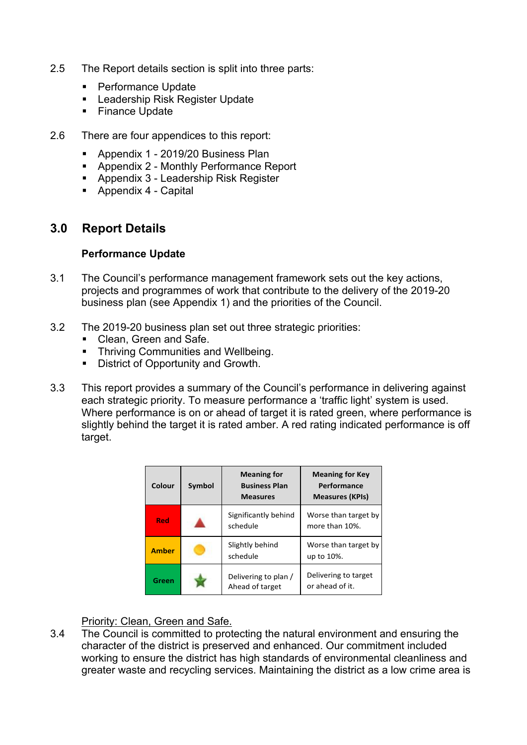- 2.5 The Report details section is split into three parts:
	- Performance Update
	- **Leadership Risk Register Update**
	- **Finance Update**
- 2.6 There are four appendices to this report:
	- **Appendix 1 2019/20 Business Plan**
	- Appendix 2 Monthly Performance Report
	- **Appendix 3 Leadership Risk Register**
	- **Appendix 4 Capital**

## **3.0 Report Details**

#### **Performance Update**

- 3.1 The Council's performance management framework sets out the key actions, projects and programmes of work that contribute to the delivery of the 2019-20 business plan (see Appendix 1) and the priorities of the Council.
- 3.2 The 2019-20 business plan set out three strategic priorities:
	- Clean, Green and Safe.
	- **Thriving Communities and Wellbeing.**
	- District of Opportunity and Growth.
- 3.3 This report provides a summary of the Council's performance in delivering against each strategic priority. To measure performance a 'traffic light' system is used. Where performance is on or ahead of target it is rated green, where performance is slightly behind the target it is rated amber. A red rating indicated performance is off target.

| Colour       | <b>Symbol</b> | <b>Meaning for</b><br><b>Business Plan</b><br><b>Measures</b> | <b>Meaning for Key</b><br>Performance<br><b>Measures (KPIs)</b> |
|--------------|---------------|---------------------------------------------------------------|-----------------------------------------------------------------|
| Red          |               | Significantly behind<br>schedule                              | Worse than target by<br>more than 10%.                          |
| <b>Amber</b> |               | Slightly behind<br>schedule                                   | Worse than target by<br>up to 10%.                              |
| Green        |               | Delivering to plan /<br>Ahead of target                       | Delivering to target<br>or ahead of it.                         |

#### Priority: Clean, Green and Safe.

3.4 The Council is committed to protecting the natural environment and ensuring the character of the district is preserved and enhanced. Our commitment included working to ensure the district has high standards of environmental cleanliness and greater waste and recycling services. Maintaining the district as a low crime area is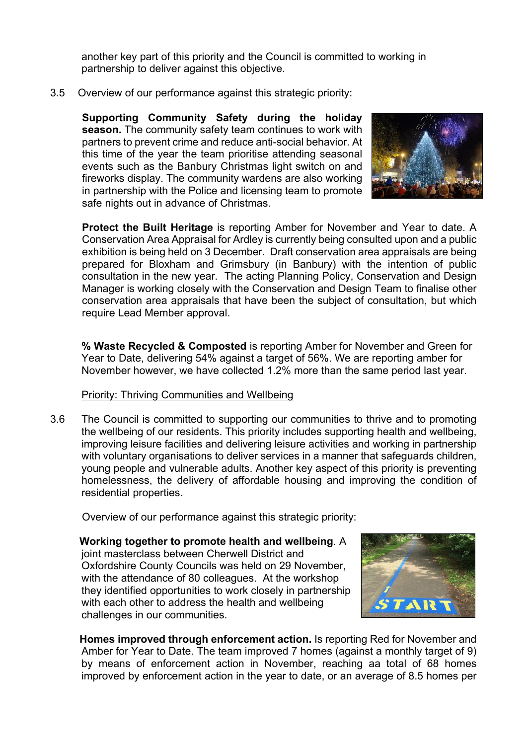another key part of this priority and the Council is committed to working in partnership to deliver against this objective.

3.5 Overview of our performance against this strategic priority:

**Supporting Community Safety during the holiday season.** The community safety team continues to work with partners to prevent crime and reduce anti-social behavior. At this time of the year the team prioritise attending seasonal events such as the Banbury Christmas light switch on and fireworks display. The community wardens are also working in partnership with the Police and licensing team to promote safe nights out in advance of Christmas.



**Protect the Built Heritage** is reporting Amber for November and Year to date. A Conservation Area Appraisal for Ardley is currently being consulted upon and a public exhibition is being held on 3 December. Draft conservation area appraisals are being prepared for Bloxham and Grimsbury (in Banbury) with the intention of public consultation in the new year. The acting Planning Policy, Conservation and Design Manager is working closely with the Conservation and Design Team to finalise other conservation area appraisals that have been the subject of consultation, but which require Lead Member approval.

**% Waste Recycled & Composted** is reporting Amber for November and Green for Year to Date, delivering 54% against a target of 56%. We are reporting amber for November however, we have collected 1.2% more than the same period last year.

#### Priority: Thriving Communities and Wellbeing

3.6 The Council is committed to supporting our communities to thrive and to promoting the wellbeing of our residents. This priority includes supporting health and wellbeing, improving leisure facilities and delivering leisure activities and working in partnership with voluntary organisations to deliver services in a manner that safeguards children, young people and vulnerable adults. Another key aspect of this priority is preventing homelessness, the delivery of affordable housing and improving the condition of residential properties.

Overview of our performance against this strategic priority:

 **Working together to promote health and wellbeing**. A joint masterclass between Cherwell District and Oxfordshire County Councils was held on 29 November, with the attendance of 80 colleagues. At the workshop they identified opportunities to work closely in partnership with each other to address the health and wellbeing challenges in our communities.



 **Homes improved through enforcement action.** Is reporting Red for November and Amber for Year to Date. The team improved 7 homes (against a monthly target of 9) by means of enforcement action in November, reaching aa total of 68 homes improved by enforcement action in the year to date, or an average of 8.5 homes per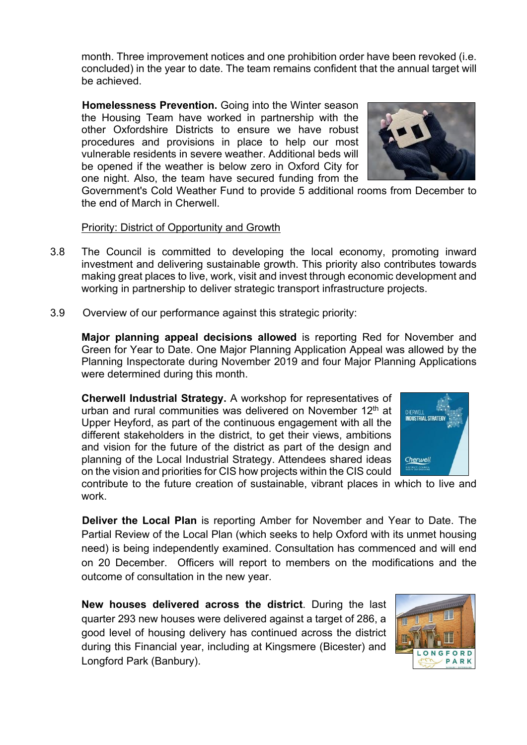month. Three improvement notices and one prohibition order have been revoked (i.e. concluded) in the year to date. The team remains confident that the annual target will be achieved.

**Homelessness Prevention.** Going into the Winter season the Housing Team have worked in partnership with the other Oxfordshire Districts to ensure we have robust procedures and provisions in place to help our most vulnerable residents in severe weather. Additional beds will be opened if the weather is below zero in Oxford City for one night. Also, the team have secured funding from the

Government's Cold Weather Fund to provide 5 additional rooms from December to the end of March in Cherwell.

#### Priority: District of Opportunity and Growth

- 3.8 The Council is committed to developing the local economy, promoting inward investment and delivering sustainable growth. This priority also contributes towards making great places to live, work, visit and invest through economic development and working in partnership to deliver strategic transport infrastructure projects.
- 3.9 Overview of our performance against this strategic priority:

**Major planning appeal decisions allowed** is reporting Red for November and Green for Year to Date. One Major Planning Application Appeal was allowed by the Planning Inspectorate during November 2019 and four Major Planning Applications were determined during this month.

**Cherwell Industrial Strategy.** A workshop for representatives of urban and rural communities was delivered on November 12<sup>th</sup> at Upper Heyford, as part of the continuous engagement with all the different stakeholders in the district, to get their views, ambitions and vision for the future of the district as part of the design and planning of the Local Industrial Strategy. Attendees shared ideas on the vision and priorities for CIS how projects within the CIS could



contribute to the future creation of sustainable, vibrant places in which to live and work.

**Deliver the Local Plan** is reporting Amber for November and Year to Date. The Partial Review of the Local Plan (which seeks to help Oxford with its unmet housing need) is being independently examined. Consultation has commenced and will end on 20 December. Officers will report to members on the modifications and the outcome of consultation in the new year.

**New houses delivered across the district**. During the last quarter 293 new houses were delivered against a target of 286, a good level of housing delivery has continued across the district during this Financial year, including at Kingsmere (Bicester) and Longford Park (Banbury).



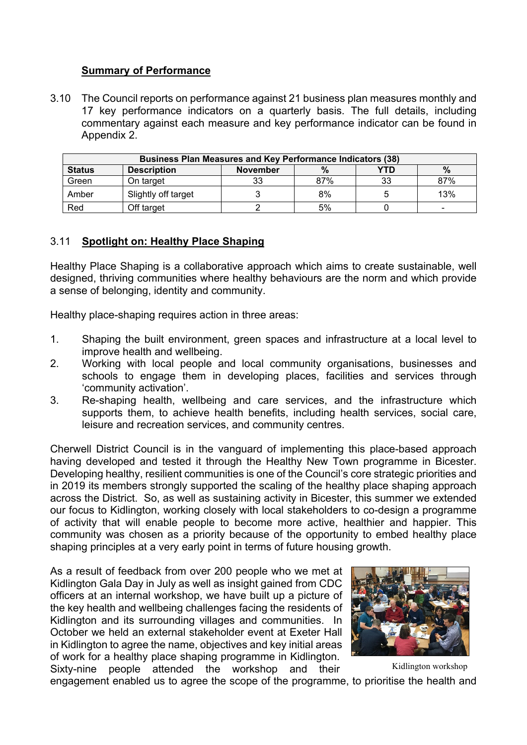### **Summary of Performance**

3.10 The Council reports on performance against 21 business plan measures monthly and 17 key performance indicators on a quarterly basis. The full details, including commentary against each measure and key performance indicator can be found in Appendix 2.

| <b>Business Plan Measures and Key Performance Indicators (38)</b>     |                     |    |     |    |                          |  |  |
|-----------------------------------------------------------------------|---------------------|----|-----|----|--------------------------|--|--|
| <b>Status</b><br><b>Description</b><br>YTD<br>$\%$<br><b>November</b> |                     |    |     |    |                          |  |  |
| Green                                                                 | On target           | 33 | 87% | 33 | 87%                      |  |  |
| Amber                                                                 | Slightly off target |    | 8%  |    | 13%                      |  |  |
| Red                                                                   | Off target          |    | 5%  |    | $\overline{\phantom{0}}$ |  |  |

### 3.11 **Spotlight on: Healthy Place Shaping**

Healthy Place Shaping is a collaborative approach which aims to create sustainable, well designed, thriving communities where healthy behaviours are the norm and which provide a sense of belonging, identity and community.

Healthy place-shaping requires action in three areas:

- 1. Shaping the built environment, green spaces and infrastructure at a local level to improve health and wellbeing.
- 2. Working with local people and local community organisations, businesses and schools to engage them in developing places, facilities and services through 'community activation'.
- 3. Re-shaping health, wellbeing and care services, and the infrastructure which supports them, to achieve health benefits, including health services, social care, leisure and recreation services, and community centres.

Cherwell District Council is in the vanguard of implementing this place-based approach having developed and tested it through the Healthy New Town programme in Bicester. Developing healthy, resilient communities is one of the Council's core strategic priorities and in 2019 its members strongly supported the scaling of the healthy place shaping approach across the District. So, as well as sustaining activity in Bicester, this summer we extended our focus to Kidlington, working closely with local stakeholders to co-design a programme of activity that will enable people to become more active, healthier and happier. This community was chosen as a priority because of the opportunity to embed healthy place shaping principles at a very early point in terms of future housing growth.

As a result of feedback from over 200 people who we met at Kidlington Gala Day in July as well as insight gained from CDC officers at an internal workshop, we have built up a picture of the key health and wellbeing challenges facing the residents of Kidlington and its surrounding villages and communities. In October we held an external stakeholder event at Exeter Hall in Kidlington to agree the name, objectives and key initial areas of work for a healthy place shaping programme in Kidlington. Sixty-nine people attended the workshop and their



Kidlington workshop

engagement enabled us to agree the scope of the programme, to prioritise the health and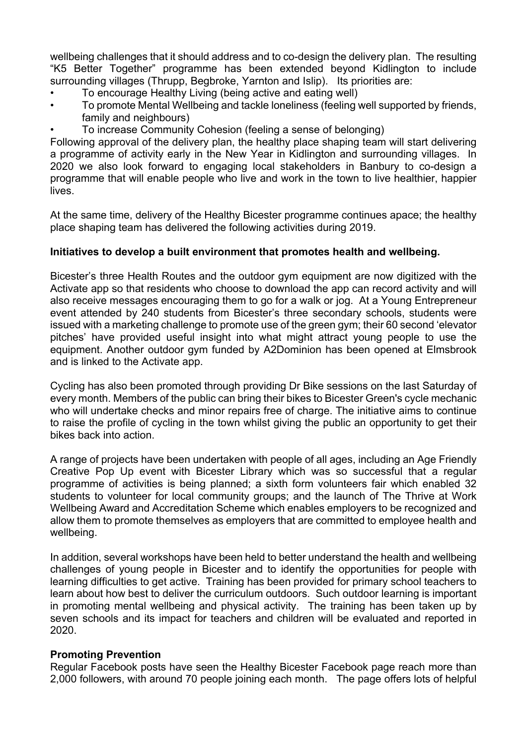wellbeing challenges that it should address and to co-design the delivery plan. The resulting "K5 Better Together" programme has been extended beyond Kidlington to include surrounding villages (Thrupp, Begbroke, Yarnton and Islip). Its priorities are:

- To encourage Healthy Living (being active and eating well)
- To promote Mental Wellbeing and tackle loneliness (feeling well supported by friends, family and neighbours)
- To increase Community Cohesion (feeling a sense of belonging)

Following approval of the delivery plan, the healthy place shaping team will start delivering a programme of activity early in the New Year in Kidlington and surrounding villages. In 2020 we also look forward to engaging local stakeholders in Banbury to co-design a programme that will enable people who live and work in the town to live healthier, happier **lives** 

At the same time, delivery of the Healthy Bicester programme continues apace; the healthy place shaping team has delivered the following activities during 2019.

#### **Initiatives to develop a built environment that promotes health and wellbeing.**

Bicester's three Health Routes and the outdoor gym equipment are now digitized with the Activate app so that residents who choose to download the app can record activity and will also receive messages encouraging them to go for a walk or jog. At a Young Entrepreneur event attended by 240 students from Bicester's three secondary schools, students were issued with a marketing challenge to promote use of the green gym; their 60 second 'elevator pitches' have provided useful insight into what might attract young people to use the equipment. Another outdoor gym funded by A2Dominion has been opened at Elmsbrook and is linked to the Activate app.

Cycling has also been promoted through providing Dr Bike sessions on the last Saturday of every month. Members of the public can bring their bikes to Bicester Green's cycle mechanic who will undertake checks and minor repairs free of charge. The initiative aims to continue to raise the profile of cycling in the town whilst giving the public an opportunity to get their bikes back into action.

A range of projects have been undertaken with people of all ages, including an Age Friendly Creative Pop Up event with Bicester Library which was so successful that a regular programme of activities is being planned; a sixth form volunteers fair which enabled 32 students to volunteer for local community groups; and the launch of The Thrive at Work Wellbeing Award and Accreditation Scheme which enables employers to be recognized and allow them to promote themselves as employers that are committed to employee health and wellbeing.

In addition, several workshops have been held to better understand the health and wellbeing challenges of young people in Bicester and to identify the opportunities for people with learning difficulties to get active. Training has been provided for primary school teachers to learn about how best to deliver the curriculum outdoors. Such outdoor learning is important in promoting mental wellbeing and physical activity. The training has been taken up by seven schools and its impact for teachers and children will be evaluated and reported in 2020.

#### **Promoting Prevention**

Regular Facebook posts have seen the Healthy Bicester Facebook page reach more than 2,000 followers, with around 70 people joining each month. The page offers lots of helpful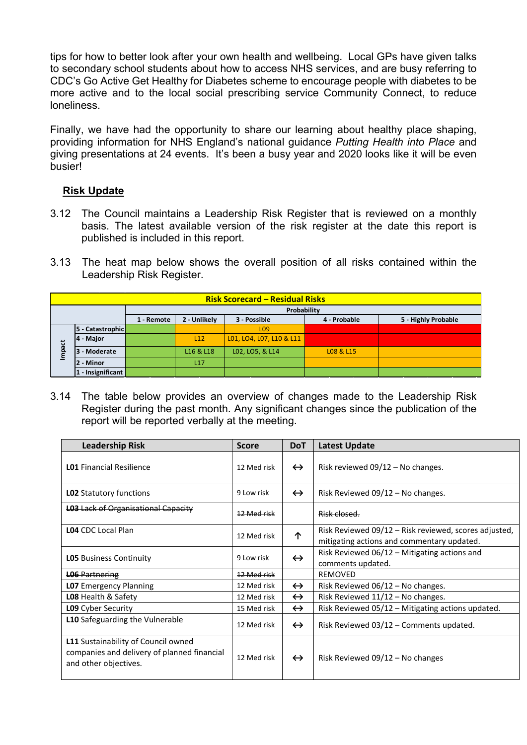tips for how to better look after your own health and wellbeing. Local GPs have given talks to secondary school students about how to access NHS services, and are busy referring to CDC's Go Active Get Healthy for Diabetes scheme to encourage people with diabetes to be more active and to the local social prescribing service Community Connect, to reduce loneliness.

Finally, we have had the opportunity to share our learning about healthy place shaping, providing information for NHS England's national guidance *Putting Health into Place* and giving presentations at 24 events. It's been a busy year and 2020 looks like it will be even busier!

## **Risk Update**

- 3.12 The Council maintains a Leadership Risk Register that is reviewed on a monthly basis. The latest available version of the risk register at the date this report is published is included in this report.
- 3.13 The heat map below shows the overall position of all risks contained within the Leadership Risk Register.

|       | <b>Risk Scorecard – Residual Risks</b> |            |                                                                     |                          |           |  |  |  |  |  |
|-------|----------------------------------------|------------|---------------------------------------------------------------------|--------------------------|-----------|--|--|--|--|--|
|       | Probability                            |            |                                                                     |                          |           |  |  |  |  |  |
|       |                                        | 1 - Remote | 5 - Highly Probable<br>4 - Probable<br>2 - Unlikely<br>3 - Possible |                          |           |  |  |  |  |  |
|       | 5 - Catastrophic                       |            |                                                                     | L <sub>09</sub>          |           |  |  |  |  |  |
|       | 4 - Major                              |            | L12                                                                 | L01, LO4, L07, L10 & L11 |           |  |  |  |  |  |
| mpact | 3 - Moderate                           |            | L16 & L18                                                           | L02, LO5, & L14          | L08 & L15 |  |  |  |  |  |
|       | 2 - Minor                              |            | L17                                                                 |                          |           |  |  |  |  |  |
|       | 1 - Insignificant                      |            |                                                                     |                          |           |  |  |  |  |  |

3.14 The table below provides an overview of changes made to the Leadership Risk Register during the past month. Any significant changes since the publication of the report will be reported verbally at the meeting.

| <b>Leadership Risk</b>                                                                                      | <b>Score</b> | <b>DoT</b>        | <b>Latest Update</b>                                                                                |
|-------------------------------------------------------------------------------------------------------------|--------------|-------------------|-----------------------------------------------------------------------------------------------------|
| <b>LO1</b> Financial Resilience                                                                             | 12 Med risk  | $\leftrightarrow$ | Risk reviewed $09/12$ – No changes.                                                                 |
| <b>LO2</b> Statutory functions                                                                              | 9 Low risk   | $\leftrightarrow$ | Risk Reviewed $09/12$ – No changes.                                                                 |
| <b>L03</b> Lack of Organisational Capacity                                                                  | 12 Med risk  |                   | Risk closed.                                                                                        |
| <b>LO4</b> CDC Local Plan                                                                                   | 12 Med risk  | 个                 | Risk Reviewed 09/12 – Risk reviewed, scores adjusted,<br>mitigating actions and commentary updated. |
| <b>LO5</b> Business Continuity                                                                              | 9 Low risk   | $\leftrightarrow$ | Risk Reviewed $06/12$ – Mitigating actions and<br>comments updated.                                 |
| <b>L06 Partnering</b>                                                                                       | 12 Med risk  |                   | <b>REMOVED</b>                                                                                      |
| <b>LO7</b> Emergency Planning                                                                               | 12 Med risk  | $\leftrightarrow$ | Risk Reviewed $06/12$ – No changes.                                                                 |
| <b>LO8</b> Health & Safety                                                                                  | 12 Med risk  | $\leftrightarrow$ | Risk Reviewed 11/12 - No changes.                                                                   |
| <b>L09</b> Cyber Security                                                                                   | 15 Med risk  | $\leftrightarrow$ | Risk Reviewed 05/12 - Mitigating actions updated.                                                   |
| L10 Safeguarding the Vulnerable                                                                             | 12 Med risk  | $\leftrightarrow$ | Risk Reviewed 03/12 - Comments updated.                                                             |
| L11 Sustainability of Council owned<br>companies and delivery of planned financial<br>and other objectives. | 12 Med risk  | $\leftrightarrow$ | Risk Reviewed $09/12$ – No changes                                                                  |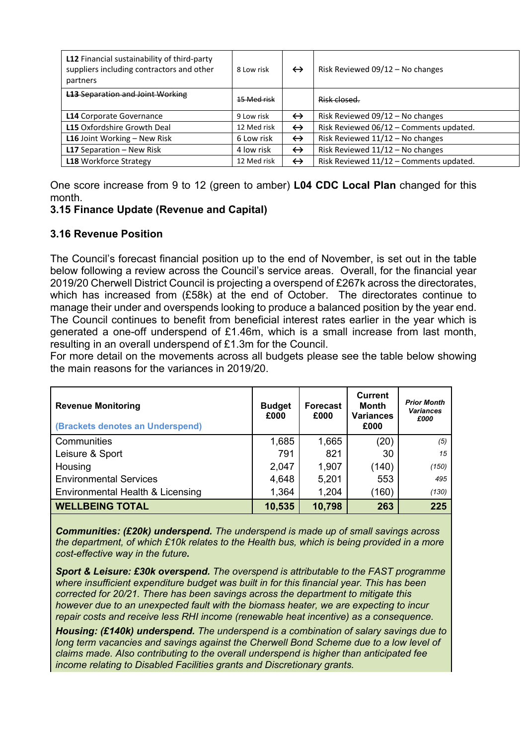| L12 Financial sustainability of third-party<br>suppliers including contractors and other<br>partners | 8 Low risk  | $\leftrightarrow$ | Risk Reviewed 09/12 - No changes        |
|------------------------------------------------------------------------------------------------------|-------------|-------------------|-----------------------------------------|
| <b>L13 Separation and Joint Working</b>                                                              | 15 Med risk |                   | Risk closed.                            |
| <b>L14 Corporate Governance</b>                                                                      | 9 Low risk  | $\leftrightarrow$ | Risk Reviewed $09/12$ – No changes      |
| <b>L15</b> Oxfordshire Growth Deal                                                                   | 12 Med risk | $\leftrightarrow$ | Risk Reviewed 06/12 - Comments updated. |
| <b>L16</b> Joint Working $-$ New Risk                                                                | 6 Low risk  | $\leftrightarrow$ | Risk Reviewed $11/12$ – No changes      |
| <b>L17</b> Separation $-$ New Risk                                                                   | 4 low risk  | $\leftrightarrow$ | Risk Reviewed $11/12$ – No changes      |
| <b>L18</b> Workforce Strategy                                                                        | 12 Med risk | $\leftrightarrow$ | Risk Reviewed 11/12 - Comments updated. |

One score increase from 9 to 12 (green to amber) **L04 CDC Local Plan** changed for this month.

### **3.15 Finance Update (Revenue and Capital)**

### **3.16 Revenue Position**

The Council's forecast financial position up to the end of November, is set out in the table below following a review across the Council's service areas. Overall, for the financial year 2019/20 Cherwell District Council is projecting a overspend of £267k across the directorates, which has increased from (£58k) at the end of October. The directorates continue to manage their under and overspends looking to produce a balanced position by the year end. The Council continues to benefit from beneficial interest rates earlier in the year which is generated a one-off underspend of £1.46m, which is a small increase from last month, resulting in an overall underspend of £1.3m for the Council.

For more detail on the movements across all budgets please see the table below showing the main reasons for the variances in 2019/20.

| <b>Revenue Monitoring</b><br>(Brackets denotes an Underspend) | <b>Budget</b><br>£000 | <b>Forecast</b><br>£000 | <b>Current</b><br><b>Month</b><br><b>Variances</b><br>£000 | <b>Prior Month</b><br><b>Variances</b><br>£000 |
|---------------------------------------------------------------|-----------------------|-------------------------|------------------------------------------------------------|------------------------------------------------|
| Communities                                                   | 1,685                 | 1,665                   | (20)                                                       | (5)                                            |
| Leisure & Sport                                               | 791                   | 821                     | 30                                                         | 15                                             |
| Housing                                                       | 2,047                 | 1,907                   | (140)                                                      | (150)                                          |
| <b>Environmental Services</b>                                 | 4,648                 | 5,201                   | 553                                                        | 495                                            |
| Environmental Health & Licensing                              | 1,364                 | 1,204                   | (160)                                                      | (130)                                          |
| <b>WELLBEING TOTAL</b>                                        | 10,535                | 10,798                  | 263                                                        | 225                                            |

*Communities: (£20k) underspend. The underspend is made up of small savings across the department, of which £10k relates to the Health bus, which is being provided in a more cost-effective way in the future.*

*Sport & Leisure: £30k overspend. The overspend is attributable to the FAST programme where insufficient expenditure budget was built in for this financial year. This has been corrected for 20/21. There has been savings across the department to mitigate this however due to an unexpected fault with the biomass heater, we are expecting to incur repair costs and receive less RHI income (renewable heat incentive) as a consequence.*

*Housing: (£140k) underspend. The underspend is a combination of salary savings due to long term vacancies and savings against the Cherwell Bond Scheme due to a low level of claims made. Also contributing to the overall underspend is higher than anticipated fee income relating to Disabled Facilities grants and Discretionary grants.*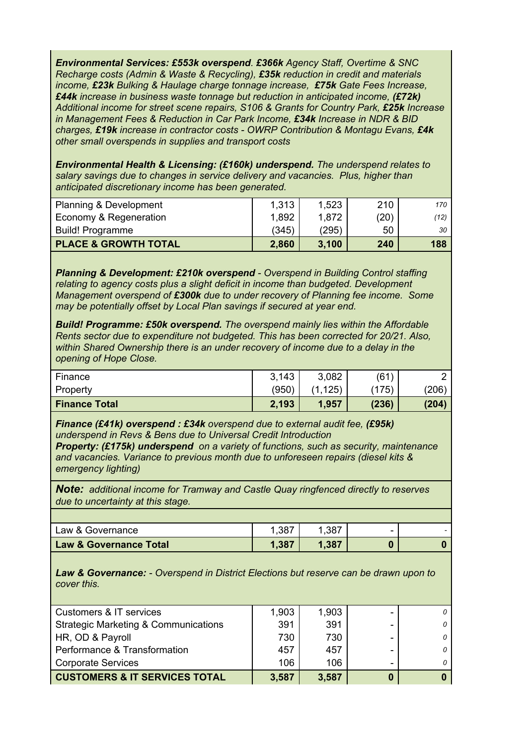*Environmental Services: £553k overspend. £366k Agency Staff, Overtime & SNC Recharge costs (Admin & Waste & Recycling), £35k reduction in credit and materials income, £23k Bulking & Haulage charge tonnage increase, £75k Gate Fees Increase, £44k increase in business waste tonnage but reduction in anticipated income, (£72k) Additional income for street scene repairs, S106 & Grants for Country Park, £25k Increase in Management Fees & Reduction in Car Park Income, £34k Increase in NDR & BID charges, £19k increase in contractor costs - OWRP Contribution & Montagu Evans, £4k other small overspends in supplies and transport costs*

*Environmental Health & Licensing: (£160k) underspend. The underspend relates to salary savings due to changes in service delivery and vacancies. Plus, higher than anticipated discretionary income has been generated.*

| <b>PLACE &amp; GROWTH TOTAL</b>   | 2,860 | 3.100 | 240  | 188  |
|-----------------------------------|-------|-------|------|------|
| <b>Build! Programme</b>           | (345) | (295) | 50   | 30   |
| Economy & Regeneration            | 1,892 | 1,872 | (20) | (12) |
| <b>Planning &amp; Development</b> | 1.313 | 1,523 | 210  | 170  |

*Planning & Development: £210k overspend - Overspend in Building Control staffing relating to agency costs plus a slight deficit in income than budgeted. Development Management overspend of £300k due to under recovery of Planning fee income. Some may be potentially offset by Local Plan savings if secured at year end.*

*Build! Programme: £50k overspend. The overspend mainly lies within the Affordable Rents sector due to expenditure not budgeted. This has been corrected for 20/21. Also, within Shared Ownership there is an under recovery of income due to a delay in the opening of Hope Close.*

| Finance              | 3,143<br>ا , ن | 3,082                  | (61)  |       |
|----------------------|----------------|------------------------|-------|-------|
| Property             | (950)          | 125)<br>$\overline{A}$ | (175) | (206) |
| <b>Finance Total</b> | 2,193          | 1,957                  | (236) | (204) |

*Finance (£41k) overspend : £34k overspend due to external audit fee, (£95k) underspend in Revs & Bens due to Universal Credit Introduction*

*Property: (£175k) underspend on a variety of functions, such as security, maintenance and vacancies. Variance to previous month due to unforeseen repairs (diesel kits & emergency lighting)*

*Note: additional income for Tramway and Castle Quay ringfenced directly to reserves due to uncertainty at this stage.*

| .387<br>.387<br>Law & Governance<br>-<br>- | <b>Law &amp; Governance Total</b> | 1,387 | .387 |  |
|--------------------------------------------|-----------------------------------|-------|------|--|
|                                            |                                   |       |      |  |

*Law & Governance: - Overspend in District Elections but reserve can be drawn upon to cover this.*

| Customers & IT services                         | 1,903 | 1,903 |   |
|-------------------------------------------------|-------|-------|---|
| <b>Strategic Marketing &amp; Communications</b> | 391   | 391   |   |
| HR, OD & Payroll                                | 730   | 730   | 0 |
| Performance & Transformation                    | 457   | 457   |   |
| <b>Corporate Services</b>                       | 106   | 106   |   |
| <b>CUSTOMERS &amp; IT SERVICES TOTAL</b>        | 3,587 | 3,587 |   |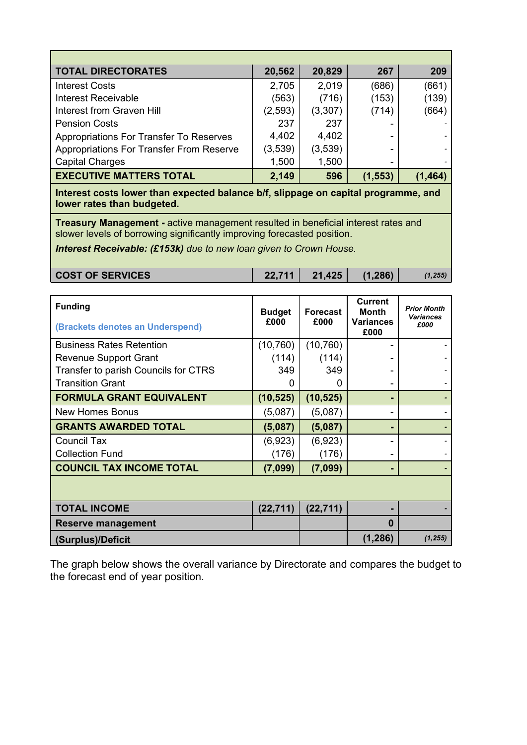| <b>TOTAL DIRECTORATES</b>                | 20,562   | 20,829  | 267      | 209      |
|------------------------------------------|----------|---------|----------|----------|
| <b>Interest Costs</b>                    | 2,705    | 2,019   | (686)    | (661)    |
| <b>Interest Receivable</b>               | (563)    | (716)   | (153)    | (139)    |
| Interest from Graven Hill                | (2, 593) | (3,307) | (714)    | (664)    |
| <b>Pension Costs</b>                     | 237      | 237     |          |          |
| Appropriations For Transfer To Reserves  | 4,402    | 4,402   |          |          |
| Appropriations For Transfer From Reserve | (3,539)  | (3,539) |          |          |
| <b>Capital Charges</b>                   | 1,500    | 1,500   |          |          |
| <b>EXECUTIVE MATTERS TOTAL</b>           | 2,149    | 596     | (1, 553) | (1, 464) |

**Interest costs lower than expected balance b/f, slippage on capital programme, and lower rates than budgeted.**

**Treasury Management -** active management resulted in beneficial interest rates and slower levels of borrowing significantly improving forecasted position.

*Interest Receivable: (£153k) due to new loan given to Crown House.*

| <b>COST OF SERVICES</b> | 22,711 | 21,425 | (1,286) | (1, 255) |
|-------------------------|--------|--------|---------|----------|
|-------------------------|--------|--------|---------|----------|

| <b>Funding</b><br>(Brackets denotes an Underspend) | <b>Budget</b><br>£000 | <b>Forecast</b><br>£000 | <b>Current</b><br><b>Month</b><br><b>Variances</b><br>£000 | <b>Prior Month</b><br><b>Variances</b><br>£000 |
|----------------------------------------------------|-----------------------|-------------------------|------------------------------------------------------------|------------------------------------------------|
| <b>Business Rates Retention</b>                    | (10, 760)             | (10, 760)               |                                                            |                                                |
| <b>Revenue Support Grant</b>                       | (114)                 | (114)                   |                                                            |                                                |
| Transfer to parish Councils for CTRS               | 349                   | 349                     |                                                            |                                                |
| <b>Transition Grant</b>                            | 0                     | 0                       |                                                            |                                                |
| <b>FORMULA GRANT EQUIVALENT</b>                    | (10, 525)             | (10, 525)               |                                                            |                                                |
| <b>New Homes Bonus</b>                             | (5,087)               | (5,087)                 | -                                                          |                                                |
| <b>GRANTS AWARDED TOTAL</b>                        | (5,087)               | (5,087)                 |                                                            |                                                |
| <b>Council Tax</b>                                 | (6,923)               | (6,923)                 |                                                            |                                                |
| <b>Collection Fund</b>                             | (176)                 | (176)                   |                                                            |                                                |
| <b>COUNCIL TAX INCOME TOTAL</b>                    | (7,099)               | (7,099)                 | -                                                          |                                                |
|                                                    |                       |                         |                                                            |                                                |
| <b>TOTAL INCOME</b>                                | (22, 711)             | (22, 711)               |                                                            |                                                |
| <b>Reserve management</b>                          |                       |                         | $\bf{0}$                                                   |                                                |
| (Surplus)/Deficit                                  |                       |                         | (1, 286)                                                   | (1, 255)                                       |

The graph below shows the overall variance by Directorate and compares the budget to the forecast end of year position.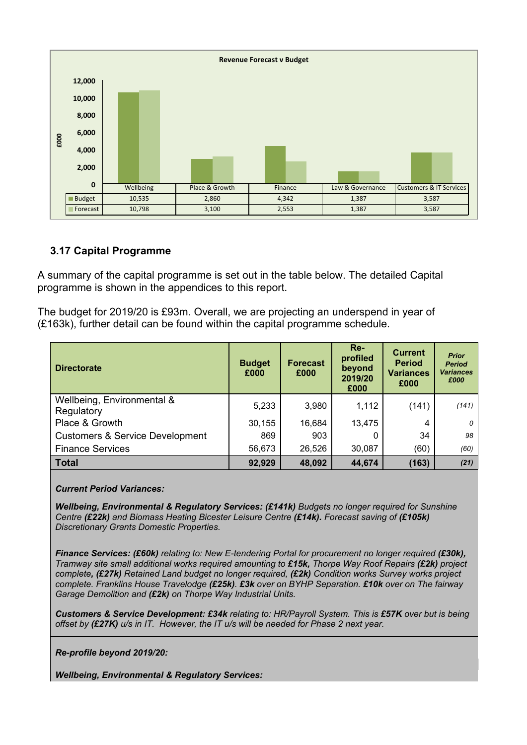

## **3.17 Capital Programme**

A summary of the capital programme is set out in the table below. The detailed Capital programme is shown in the appendices to this report.

The budget for 2019/20 is £93m. Overall, we are projecting an underspend in year of (£163k), further detail can be found within the capital programme schedule.

| <b>Directorate</b>                         | <b>Budget</b><br>£000 | <b>Forecast</b><br>£000 | $Re-$<br>profiled<br>beyond<br>2019/20<br>£000 | <b>Current</b><br><b>Period</b><br><b>Variances</b><br>£000 | <b>Prior</b><br><b>Period</b><br><b>Variances</b><br>£000 |
|--------------------------------------------|-----------------------|-------------------------|------------------------------------------------|-------------------------------------------------------------|-----------------------------------------------------------|
| Wellbeing, Environmental &<br>Regulatory   | 5,233                 | 3,980                   | 1,112                                          | (141)                                                       | (141)                                                     |
| Place & Growth                             | 30,155                | 16,684                  | 13,475                                         | 4                                                           | 0                                                         |
| <b>Customers &amp; Service Development</b> | 869                   | 903                     |                                                | 34                                                          | 98                                                        |
| <b>Finance Services</b>                    | 56,673                | 26,526                  | 30,087                                         | (60)                                                        | (60)                                                      |
| <b>Total</b>                               | 92,929                | 48,092                  | 44,674                                         | (163)                                                       | (21)                                                      |

*Current Period Variances:*

*Wellbeing, Environmental & Regulatory Services: (£141k) Budgets no longer required for Sunshine Centre (£22k) and Biomass Heating Bicester Leisure Centre (£14k). Forecast saving of (£105k) Discretionary Grants Domestic Properties.*

*Finance Services: (£60k) relating to: New E-tendering Portal for procurement no longer required (£30k), Tramway site small additional works required amounting to £15k, Thorpe Way Roof Repairs (£2k) project complete, (£27k) Retained Land budget no longer required, (£2k) Condition works Survey works project complete. Franklins House Travelodge (£25k). £3k over on BYHP Separation. £10k over on The fairway Garage Demolition and (£2k) on Thorpe Way Industrial Units.*

*Customers & Service Development: £34k relating to: HR/Payroll System. This is £57K over but is being offset by (£27K) u/s in IT. However, the IT u/s will be needed for Phase 2 next year.*

*Re-profile beyond 2019/20:*

*Wellbeing, Environmental & Regulatory Services:*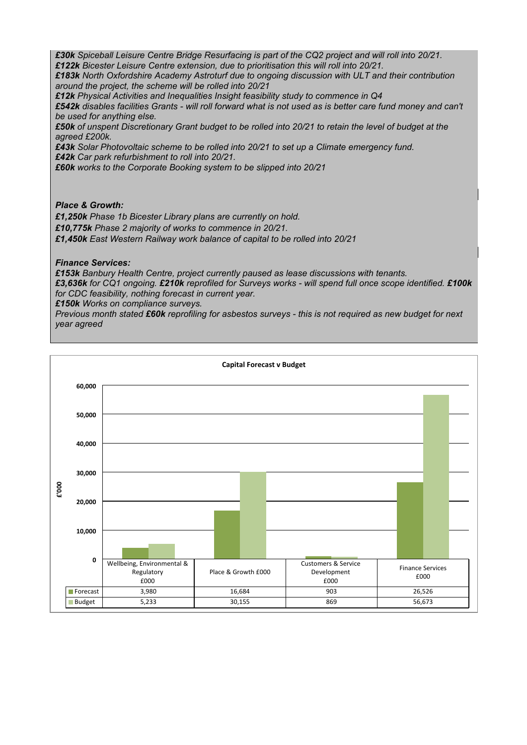£30k Spiceball Leisure Centre Bridge Resurfacing is part of the CQ2 project and will roll into 20/21. *£122k Bicester Leisure Centre extension, due to prioritisation this will roll into 20/21.* 

*£183k North Oxfordshire Academy Astroturf due to ongoing discussion with ULT and their contribution around the project, the scheme will be rolled into 20/21* 

*£12k Physical Activities and Inequalities Insight feasibility study to commence in Q4*

£542k disables facilities Grants - will roll forward what is not used as is better care fund money and can't *be used for anything else.* 

£50k of unspent Discretionary Grant budget to be rolled into 20/21 to retain the level of budget at the *agreed £200k.* 

*£43k Solar Photovoltaic scheme to be rolled into 20/21 to set up a Climate emergency fund. £42k Car park refurbishment to roll into 20/21.* 

*£60k works to the Corporate Booking system to be slipped into 20/21*

#### *Place & Growth:*

*£1,250k Phase 1b Bicester Library plans are currently on hold. £10,775k Phase 2 majority of works to commence in 20/21. £1,450k East Western Railway work balance of capital to be rolled into 20/21*

#### *Finance Services:*

*£153k Banbury Health Centre, project currently paused as lease discussions with tenants.*

£3,636k for CQ1 ongoing. £210k reprofiled for Surveys works - will spend full once scope identified. £100k *for CDC feasibility, nothing forecast in current year.*

*£150k Works on compliance surveys.*

Previous month stated £60k reprofiling for asbestos surveys - this is not required as new budget for next *year agreed*

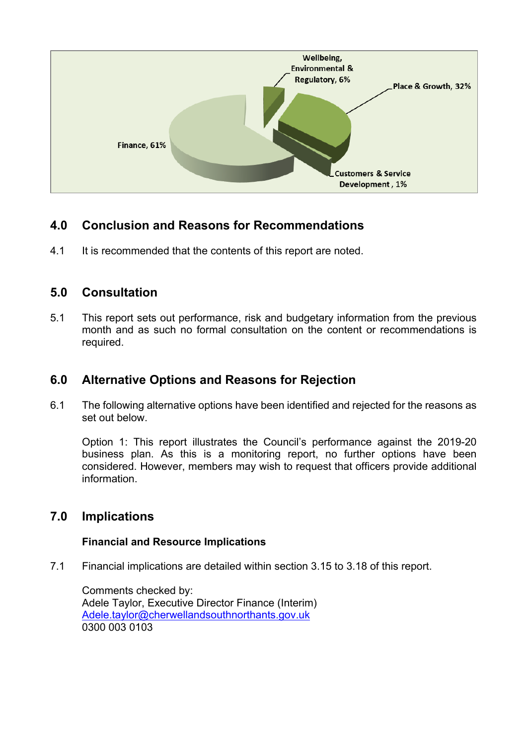

# **4.0 Conclusion and Reasons for Recommendations**

4.1 It is recommended that the contents of this report are noted.

## **5.0 Consultation**

5.1 This report sets out performance, risk and budgetary information from the previous month and as such no formal consultation on the content or recommendations is required.

## **6.0 Alternative Options and Reasons for Rejection**

6.1 The following alternative options have been identified and rejected for the reasons as set out below.

Option 1: This report illustrates the Council's performance against the 2019-20 business plan. As this is a monitoring report, no further options have been considered. However, members may wish to request that officers provide additional information.

## **7.0 Implications**

## **Financial and Resource Implications**

7.1 Financial implications are detailed within section 3.15 to 3.18 of this report.

Comments checked by: Adele Taylor, Executive Director Finance (Interim) [Adele.taylor@cherwellandsouthnorthants.gov.uk](mailto:Adele.taylor@cherwellandsouthnorthants.gov.uk) 0300 003 0103